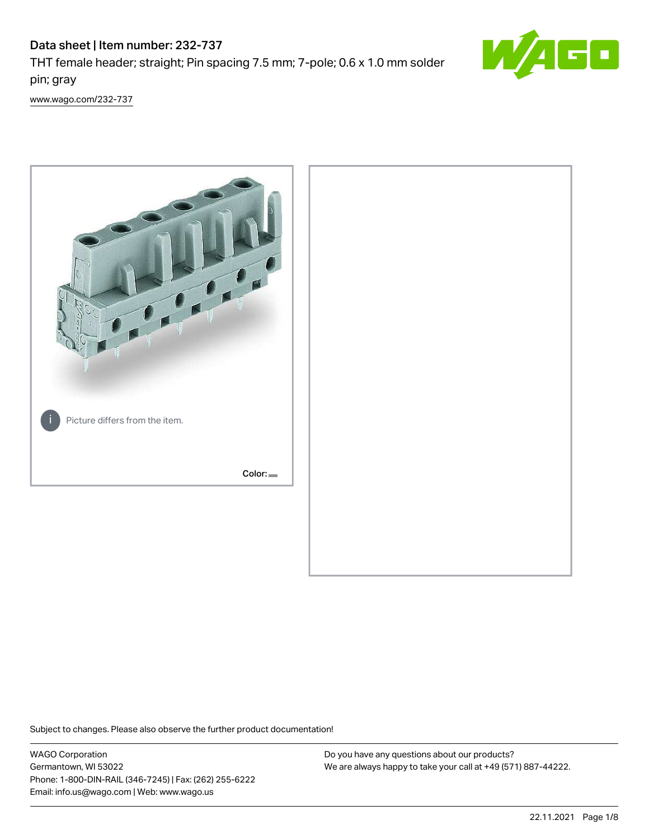# Data sheet | Item number: 232-737 THT female header; straight; Pin spacing 7.5 mm; 7-pole; 0.6 x 1.0 mm solder pin; gray



[www.wago.com/232-737](http://www.wago.com/232-737)



Subject to changes. Please also observe the further product documentation!

WAGO Corporation Germantown, WI 53022 Phone: 1-800-DIN-RAIL (346-7245) | Fax: (262) 255-6222 Email: info.us@wago.com | Web: www.wago.us

Do you have any questions about our products? We are always happy to take your call at +49 (571) 887-44222.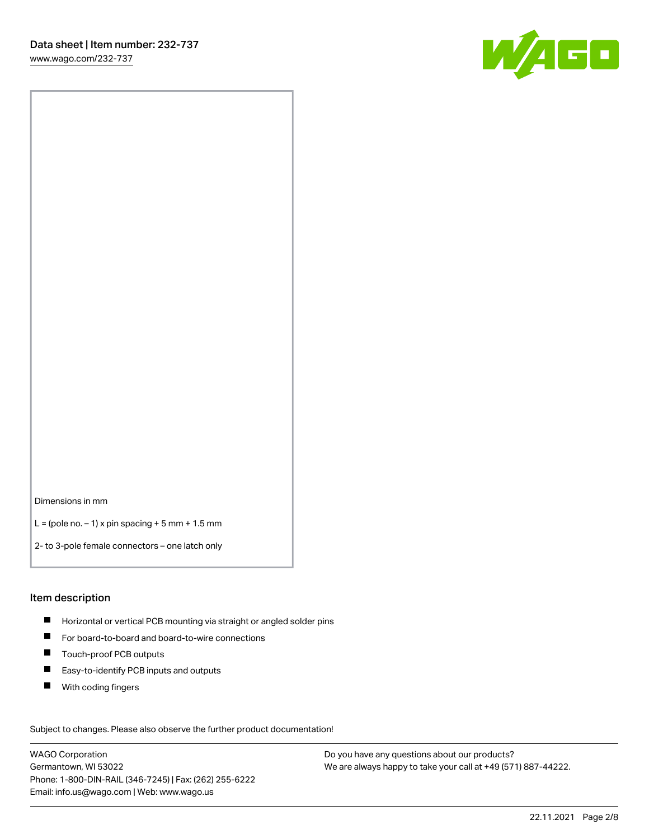[www.wago.com/232-737](http://www.wago.com/232-737)



Dimensions in mm

 $L =$  (pole no.  $-1$ ) x pin spacing  $+5$  mm  $+ 1.5$  mm

2- to 3-pole female connectors – one latch only

#### Item description

- **Horizontal or vertical PCB mounting via straight or angled solder pins**
- For board-to-board and board-to-wire connections
- Touch-proof PCB outputs  $\blacksquare$
- $\blacksquare$ Easy-to-identify PCB inputs and outputs
- $\blacksquare$ With coding fingers

Subject to changes. Please also observe the further product documentation! Data

WAGO Corporation Germantown, WI 53022 Phone: 1-800-DIN-RAIL (346-7245) | Fax: (262) 255-6222 Email: info.us@wago.com | Web: www.wago.us

Do you have any questions about our products? We are always happy to take your call at +49 (571) 887-44222.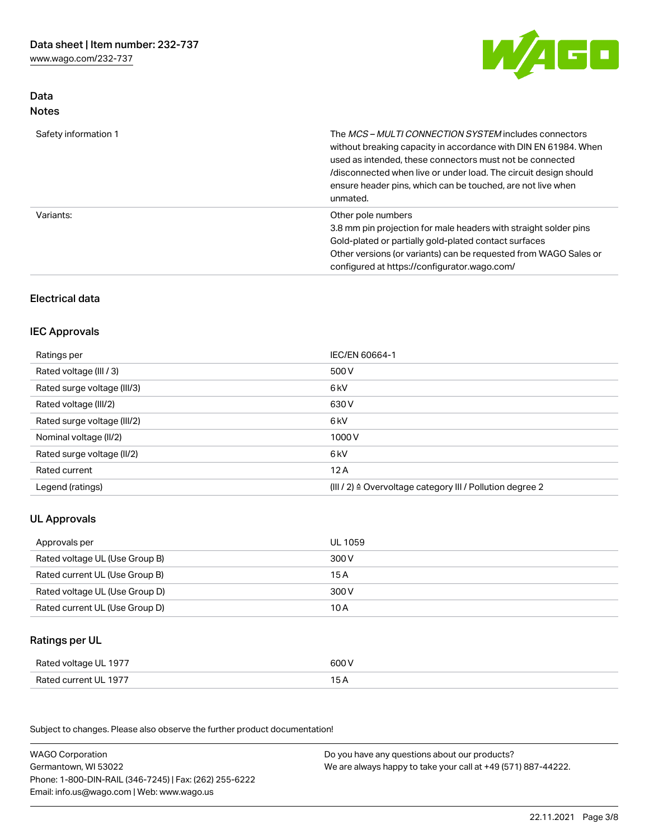[www.wago.com/232-737](http://www.wago.com/232-737)

Data Notes



| Safety information 1 | The <i>MCS – MULTI CONNECTION SYSTEM</i> includes connectors<br>without breaking capacity in accordance with DIN EN 61984. When<br>used as intended, these connectors must not be connected<br>/disconnected when live or under load. The circuit design should<br>ensure header pins, which can be touched, are not live when<br>unmated. |
|----------------------|--------------------------------------------------------------------------------------------------------------------------------------------------------------------------------------------------------------------------------------------------------------------------------------------------------------------------------------------|
| Variants:            | Other pole numbers<br>3.8 mm pin projection for male headers with straight solder pins<br>Gold-plated or partially gold-plated contact surfaces<br>Other versions (or variants) can be requested from WAGO Sales or<br>configured at https://configurator.wago.com/                                                                        |

### Electrical data

#### IEC Approvals

| Ratings per                 | IEC/EN 60664-1                                                        |
|-----------------------------|-----------------------------------------------------------------------|
| Rated voltage (III / 3)     | 500 V                                                                 |
| Rated surge voltage (III/3) | 6 kV                                                                  |
| Rated voltage (III/2)       | 630 V                                                                 |
| Rated surge voltage (III/2) | 6 kV                                                                  |
| Nominal voltage (II/2)      | 1000 V                                                                |
| Rated surge voltage (II/2)  | 6 kV                                                                  |
| Rated current               | 12A                                                                   |
| Legend (ratings)            | $(III / 2)$ $\triangle$ Overvoltage category III / Pollution degree 2 |

### UL Approvals

| Approvals per                  | UL 1059 |
|--------------------------------|---------|
| Rated voltage UL (Use Group B) | 300 V   |
| Rated current UL (Use Group B) | 15 A    |
| Rated voltage UL (Use Group D) | 300 V   |
| Rated current UL (Use Group D) | 10 A    |

# Ratings per UL

| Rated voltage UL 1977 | 600 V |
|-----------------------|-------|
| Rated current UL 1977 | 15 A  |

Subject to changes. Please also observe the further product documentation!

| <b>WAGO Corporation</b>                                | Do you have any questions about our products?                 |
|--------------------------------------------------------|---------------------------------------------------------------|
| Germantown, WI 53022                                   | We are always happy to take your call at +49 (571) 887-44222. |
| Phone: 1-800-DIN-RAIL (346-7245)   Fax: (262) 255-6222 |                                                               |
| Email: info.us@wago.com   Web: www.wago.us             |                                                               |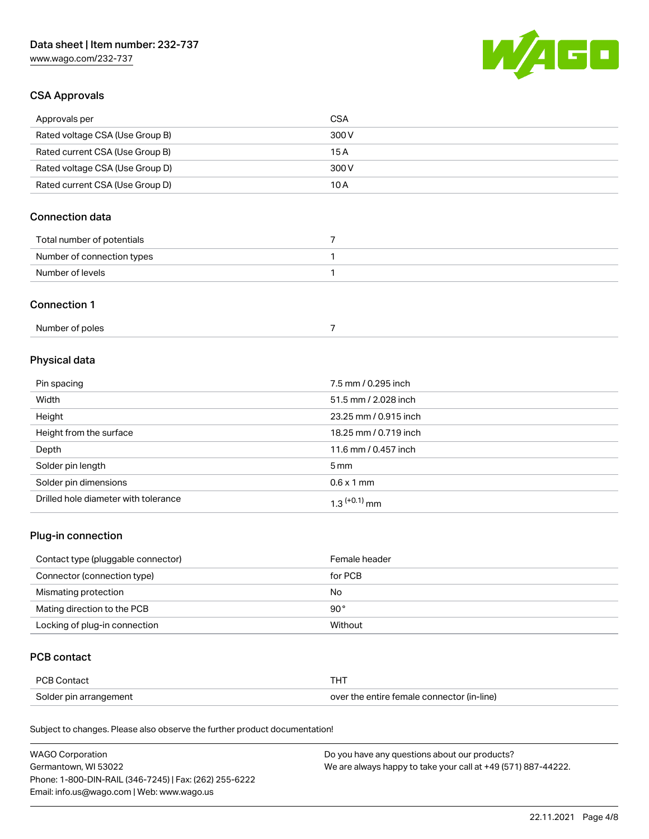# Data sheet | Item number: 232-737

[www.wago.com/232-737](http://www.wago.com/232-737)



### CSA Approvals

| Approvals per                   | CSA   |
|---------------------------------|-------|
| Rated voltage CSA (Use Group B) | 300 V |
| Rated current CSA (Use Group B) | 15 A  |
| Rated voltage CSA (Use Group D) | 300 V |
| Rated current CSA (Use Group D) | 10 A  |

### Connection data

| Total number of potentials |  |
|----------------------------|--|
| Number of connection types |  |
| Number of levels           |  |

#### Connection 1

| Number of poles |  |
|-----------------|--|
|-----------------|--|

# Physical data

| Pin spacing                          | 7.5 mm / 0.295 inch   |
|--------------------------------------|-----------------------|
| Width                                | 51.5 mm / 2.028 inch  |
| Height                               | 23.25 mm / 0.915 inch |
| Height from the surface              | 18.25 mm / 0.719 inch |
| Depth                                | 11.6 mm / 0.457 inch  |
| Solder pin length                    | $5 \,\mathrm{mm}$     |
| Solder pin dimensions                | $0.6 \times 1$ mm     |
| Drilled hole diameter with tolerance | $1.3$ $(+0.1)$ mm     |

### Plug-in connection

| Contact type (pluggable connector) | Female header |
|------------------------------------|---------------|
| Connector (connection type)        | for PCB       |
| Mismating protection               | No            |
| Mating direction to the PCB        | $90^{\circ}$  |
| Locking of plug-in connection      | Without       |

#### PCB contact

| PCB Contact            | THT                                        |
|------------------------|--------------------------------------------|
| Solder pin arrangement | over the entire female connector (in-line) |

Subject to changes. Please also observe the further product documentation!

| <b>WAGO Corporation</b>                                | Do you have any questions about our products?                 |
|--------------------------------------------------------|---------------------------------------------------------------|
| Germantown, WI 53022                                   | We are always happy to take your call at +49 (571) 887-44222. |
| Phone: 1-800-DIN-RAIL (346-7245)   Fax: (262) 255-6222 |                                                               |
| Email: info.us@wago.com   Web: www.wago.us             |                                                               |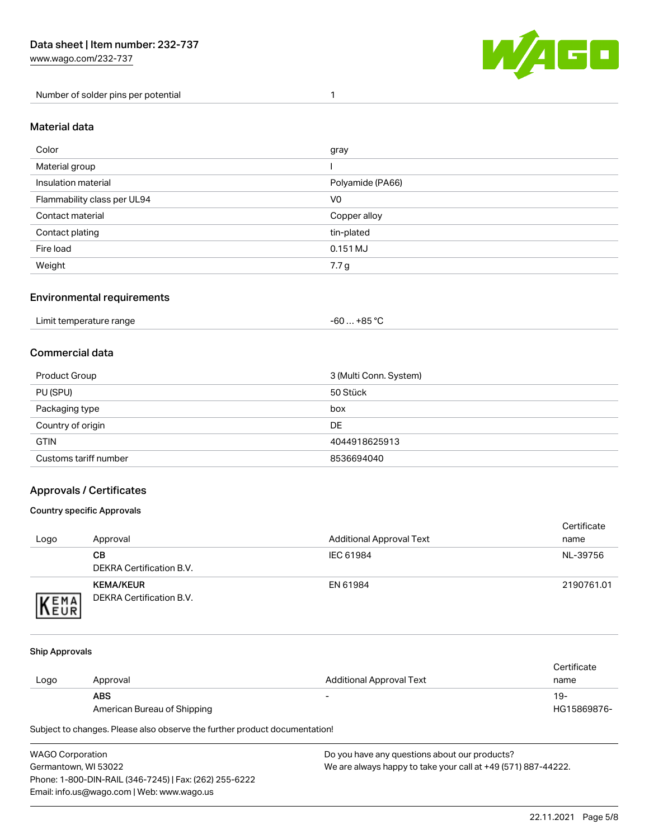[www.wago.com/232-737](http://www.wago.com/232-737)

Number of solder pins per potential 1



#### Material data

| Color                       | gray             |
|-----------------------------|------------------|
| Material group              |                  |
| Insulation material         | Polyamide (PA66) |
| Flammability class per UL94 | V <sub>0</sub>   |
| Contact material            | Copper alloy     |
| Contact plating             | tin-plated       |
| Fire load                   | 0.151 MJ         |
| Weight                      | 7.7g             |

#### Environmental requirements

| Limit temperature range<br>. | . +85 °C<br>-60 |  |
|------------------------------|-----------------|--|
|------------------------------|-----------------|--|

### Commercial data

| Product Group         | 3 (Multi Conn. System) |
|-----------------------|------------------------|
| PU (SPU)              | 50 Stück               |
| Packaging type        | box                    |
| Country of origin     | <b>DE</b>              |
| <b>GTIN</b>           | 4044918625913          |
| Customs tariff number | 8536694040             |

### Approvals / Certificates

#### Country specific Approvals

| Logo                | Approval                                            | <b>Additional Approval Text</b> | Certificate<br>name |
|---------------------|-----------------------------------------------------|---------------------------------|---------------------|
|                     | CВ<br>DEKRA Certification B.V.                      | IEC 61984                       | NL-39756            |
| EMA<br><b>INEUR</b> | <b>KEMA/KEUR</b><br><b>DEKRA Certification B.V.</b> | EN 61984                        | 2190761.01          |

#### Ship Approvals

| Logo | Approval                    | Additional Approval Text | Certificate<br>name |
|------|-----------------------------|--------------------------|---------------------|
|      | <b>ABS</b>                  | -                        | 19-                 |
|      | American Bureau of Shipping |                          | HG15869876-         |

Subject to changes. Please also observe the further product documentation!

WAGO Corporation Germantown, WI 53022 Phone: 1-800-DIN-RAIL (346-7245) | Fax: (262) 255-6222 Email: info.us@wago.com | Web: www.wago.us Do you have any questions about our products? We are always happy to take your call at +49 (571) 887-44222.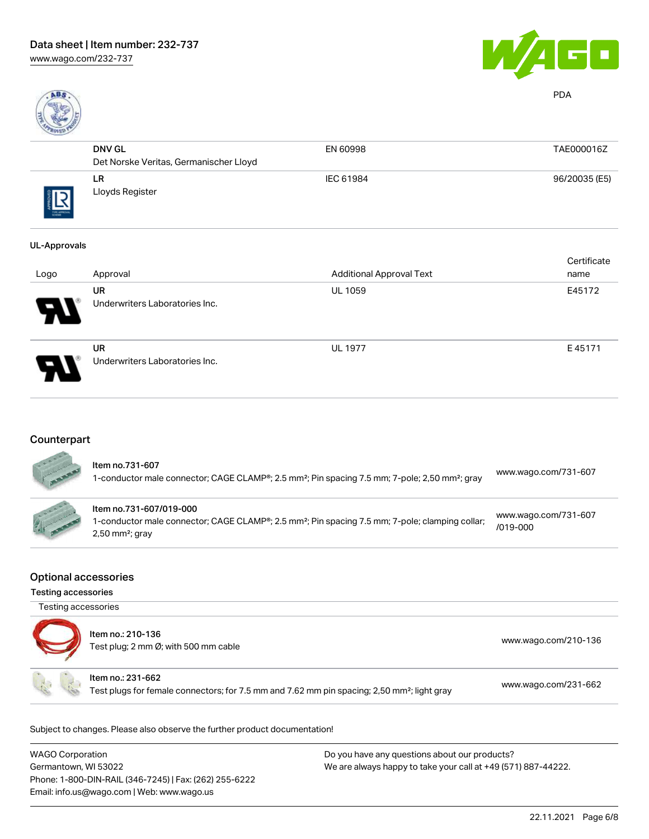

PDA

| <b>CONTRACTOR</b> |                                        |           |               |
|-------------------|----------------------------------------|-----------|---------------|
|                   | <b>DNV GL</b>                          | EN 60998  | TAE000016Z    |
|                   | Det Norske Veritas, Germanischer Lloyd |           |               |
| THE APPROVA       | <b>LR</b><br>Lloyds Register           | IEC 61984 | 96/20035 (E5) |

#### UL-Approvals

| Logo                       | Approval                                    | <b>Additional Approval Text</b> | Certificate<br>name |
|----------------------------|---------------------------------------------|---------------------------------|---------------------|
| $\boldsymbol{\mathcal{P}}$ | <b>UR</b><br>Underwriters Laboratories Inc. | <b>UL 1059</b>                  | E45172              |
| 8                          | <b>UR</b><br>Underwriters Laboratories Inc. | <b>UL 1977</b>                  | E45171              |

# **Counterpart**

| ltem no.731-607<br>1-conductor male connector; CAGE CLAMP®; 2.5 mm <sup>2</sup> ; Pin spacing 7.5 mm; 7-pole; 2,50 mm <sup>2</sup> ; gray                               | www.wago.com/731-607                 |
|-------------------------------------------------------------------------------------------------------------------------------------------------------------------------|--------------------------------------|
| Item no.731-607/019-000<br>1-conductor male connector; CAGE CLAMP®; 2.5 mm <sup>2</sup> ; Pin spacing 7.5 mm; 7-pole; clamping collar;<br>$2,50$ mm <sup>2</sup> ; gray | www.wago.com/731-607<br>$/019 - 000$ |

#### Optional accessories

Testing accessories

| Testing accessories | Item no.: 210-136<br>Test plug; 2 mm Ø; with 500 mm cable                                                                    | www.wago.com/210-136 |
|---------------------|------------------------------------------------------------------------------------------------------------------------------|----------------------|
|                     | Item no.: 231-662<br>Test plugs for female connectors; for 7.5 mm and 7.62 mm pin spacing; 2,50 mm <sup>2</sup> ; light gray | www.wago.com/231-662 |

Subject to changes. Please also observe the further product documentation!

| <b>WAGO Corporation</b>                                | Do you have any questions about our products?                 |
|--------------------------------------------------------|---------------------------------------------------------------|
| Germantown, WI 53022                                   | We are always happy to take your call at +49 (571) 887-44222. |
| Phone: 1-800-DIN-RAIL (346-7245)   Fax: (262) 255-6222 |                                                               |
| Email: info.us@wago.com   Web: www.wago.us             |                                                               |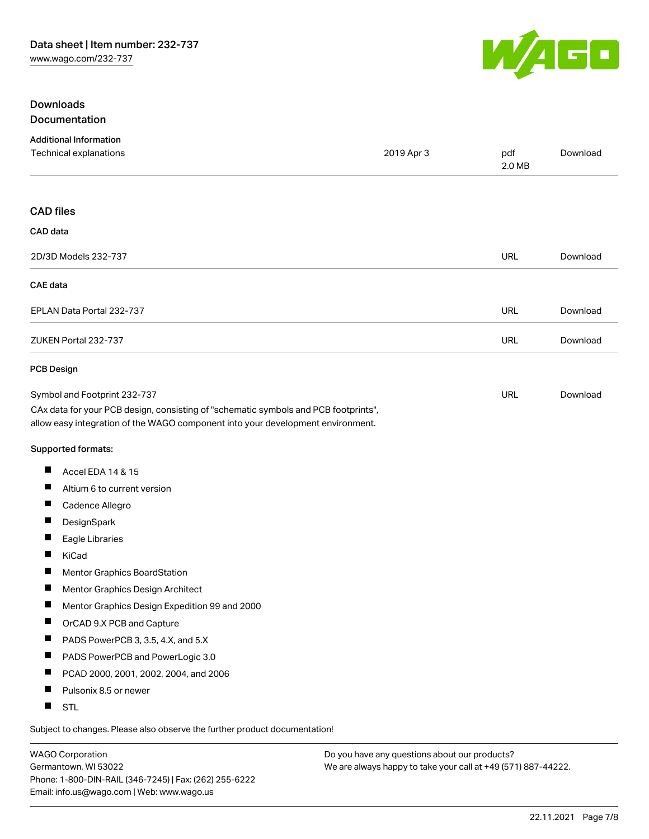

### Downloads Documentation

| <b>Additional Information</b>                                                                                                                                          |            |               |          |
|------------------------------------------------------------------------------------------------------------------------------------------------------------------------|------------|---------------|----------|
| Technical explanations                                                                                                                                                 | 2019 Apr 3 | pdf<br>2.0 MB | Download |
| <b>CAD files</b>                                                                                                                                                       |            |               |          |
| CAD data                                                                                                                                                               |            |               |          |
| 2D/3D Models 232-737                                                                                                                                                   |            | <b>URL</b>    | Download |
| <b>CAE</b> data                                                                                                                                                        |            |               |          |
| EPLAN Data Portal 232-737                                                                                                                                              |            | URL           | Download |
| ZUKEN Portal 232-737                                                                                                                                                   |            | <b>URL</b>    | Download |
| <b>PCB Design</b>                                                                                                                                                      |            |               |          |
| Symbol and Footprint 232-737                                                                                                                                           |            | URL           | Download |
| CAx data for your PCB design, consisting of "schematic symbols and PCB footprints",<br>allow easy integration of the WAGO component into your development environment. |            |               |          |
| Supported formats:                                                                                                                                                     |            |               |          |
| Accel EDA 14 & 15<br>ш                                                                                                                                                 |            |               |          |
| ш<br>Altium 6 to current version                                                                                                                                       |            |               |          |
| ш<br>Cadence Allegro                                                                                                                                                   |            |               |          |
| DesignSpark                                                                                                                                                            |            |               |          |
| ш<br>Eagle Libraries                                                                                                                                                   |            |               |          |
| ш<br>KiCad                                                                                                                                                             |            |               |          |
| Mentor Graphics BoardStation                                                                                                                                           |            |               |          |
| Mentor Graphics Design Architect<br>ш                                                                                                                                  |            |               |          |
| Mentor Graphics Design Expedition 99 and 2000                                                                                                                          |            |               |          |
| Ш<br>OrCAD 9.X PCB and Capture                                                                                                                                         |            |               |          |
| PADS PowerPCB 3, 3.5, 4.X, and 5.X<br>ш                                                                                                                                |            |               |          |
| ш<br>PADS PowerPCB and PowerLogic 3.0                                                                                                                                  |            |               |          |
| Ш<br>PCAD 2000, 2001, 2002, 2004, and 2006                                                                                                                             |            |               |          |
| ш<br>Pulsonix 8.5 or newer                                                                                                                                             |            |               |          |
| <b>STL</b><br>Ш                                                                                                                                                        |            |               |          |
|                                                                                                                                                                        |            |               |          |

Subject to changes. Please also observe the further product documentation!

WAGO Corporation Germantown, WI 53022 Phone: 1-800-DIN-RAIL (346-7245) | Fax: (262) 255-6222 Email: info.us@wago.com | Web: www.wago.us

Do you have any questions about our products? We are always happy to take your call at +49 (571) 887-44222.